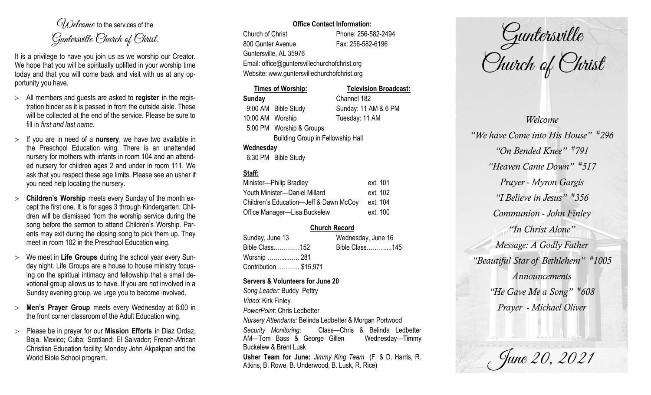$O(\lambda)$  elcame to the services of the Guntersville Church of Christ.

It is a privilege to have you join us as we worship our Creator. We hope that you will be spiritually uplifted in your worship time today and that you will come back and visit with us at any opportunity you have.

- All members and guests are asked to **register** in the registration binder as it is passed in from the outside aisle. These will be collected at the end of the service. Please be sure to fill in *first and last name*.
- $>$  If you are in need of a **nursery**, we have two available in the Preschool Education wing. There is an unattended nursery for mothers with infants in room 104 and an attended nursery for children ages 2 and under in room 111. We ask that you respect these age limits. Please see an usher if you need help locating the nursery.
- **Children's Worship** meets every Sunday of the month except the first one. It is for ages 3 through Kindergarten. Children will be dismissed from the worship service during the song before the sermon to attend Children's Worship. Parents may exit during the closing song to pick them up. They meet in room 102 in the Preschool Education wing.
- We meet in **Life Groups** during the school year every Sunday night. Life Groups are a house to house ministry focusing on the spiritual intimacy and fellowship that a small devotional group allows us to have. If you are not involved in a Sunday evening group, we urge you to become involved.
- **Men's Prayer Group** meets every Wednesday at 6:00 in the front corner classroom of the Adult Education wing.
- Please be in prayer for our **Mission Efforts** in Diaz Ordaz, Baja, Mexico; Cuba; Scotland; El Salvador; French-African Christian Education facility; Monday John Akpakpan and the World Bible School program.

### **Office Contact Information:**

Church of Christ Phone: 256-582-2494 800 Gunter Avenue Fax: 256-582-6196 Guntersville, AL 35976 Website: www.guntersvillechurchofchrist.org

Email: office@guntersvillechurchofchrist.org

|                                          | <b>Times of Worship:</b>      | <b>Television Broadcast:</b> |  |  |
|------------------------------------------|-------------------------------|------------------------------|--|--|
| <b>Sunday</b>                            |                               | Channel 182                  |  |  |
|                                          | 9:00 AM Bible Study           | Sunday: 11 AM & 6 PM         |  |  |
| 10:00 AM Worship                         |                               | Tuesday: 11 AM               |  |  |
|                                          | 5:00 PM Worship & Groups      |                              |  |  |
| <b>Building Group in Fellowship Hall</b> |                               |                              |  |  |
| Wednesday                                |                               |                              |  |  |
|                                          | $0.00 \text{ DM}$ Dill $01.1$ |                              |  |  |

### 6:30 PM Bible Study

# **Staff:**

| Minister-Philip Bradley                | ext. 101 |
|----------------------------------------|----------|
| Youth Minister-Daniel Millard          | ext. 102 |
| Children's Education-Jeff & Dawn McCoy | ext. 104 |
| Office Manager-Lisa Buckelew           | ext. 100 |

## **Church Record**

| Sunday, June 13        | Wednesday, June 16 |  |
|------------------------|--------------------|--|
| Bible Class152         | Bible Class145     |  |
| Worship ……………. 281     |                    |  |
| Contribution  \$15,971 |                    |  |

### **Servers & Volunteers for June 20**

*Song Leader:* Buddy Pettry *Video*: Kirk Finley *PowerPoint*: Chris Ledbetter *Nursery Attendants:* Belinda Ledbetter & Morgan Portwood *Security Monitoring*: Class—Chris & Belinda Ledbetter AM-Tom Bass & George Gillen Wednesday-Timmy Buckelew & Brent Lusk **Usher Team for June:** *Jimmy King Team* (F. & D. Harris, R. Atkins, B. Rowe, B. Underwood, B. Lusk, R. Rice)

Guntersville Church of Christ

*Welcome "We have Come into His House" # 296 "On Bended Knee" # 791 "Heaven Came Down" # 517 Prayer - Myron Gargis "I Believe in Jesus" # 356 Communion - John Finley "In Christ Alone" Message: A Godly Father "Beautiful Star of Bethlehem" # 1005 Announcements "He Gave Me a Song" # 608 Prayer - Michael Oliver*

June 20, 2021